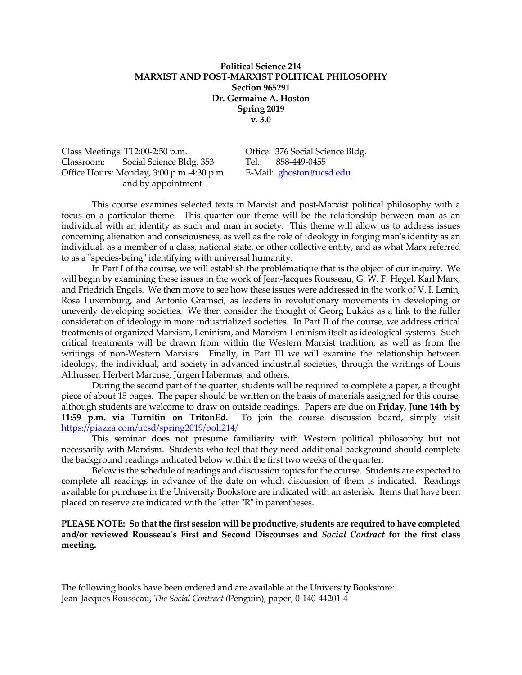# **Political Science 214 MARXIST AND POST-MARXIST POLITICAL PHILOSOPHY Section 965291 Dr. Germaine A. Hoston Spring 2019 v. 3.0**

Class Meetings: T12:00-2:50 p.m. Office: 376 Social Science Bldg. Classroom: Social Science Bldg. 353 Tel.: 858-449-0455 Office Hours: Monday, 3:00 p.m.-4:30 p.m. E-Mail: [ghoston@ucsd.edu](mailto:ghoston@ucsd.edu) and by appointment

This course examines selected texts in Marxist and post-Marxist political philosophy with a focus on a particular theme. This quarter our theme will be the relationship between man as an individual with an identity as such and man in society. This theme will allow us to address issues concerning alienation and consciousness, as well as the role of ideology in forging man's identity as an individual, as a member of a class, national state, or other collective entity, and as what Marx referred to as a "species-being" identifying with universal humanity.

In Part I of the course, we will establish the problématique that is the object of our inquiry. We will begin by examining these issues in the work of Jean-Jacques Rousseau, G. W. F. Hegel, Karl Marx, and Friedrich Engels. We then move to see how these issues were addressed in the work of V. I. Lenin, Rosa Luxemburg, and Antonio Gramsci, as leaders in revolutionary movements in developing or unevenly developing societies. We then consider the thought of Georg Lukács as a link to the fuller consideration of ideology in more industrialized societies. In Part II of the course, we address critical treatments of organized Marxism, Leninism, and Marxism-Leninism itself as ideological systems. Such critical treatments will be drawn from within the Western Marxist tradition, as well as from the writings of non-Western Marxists. Finally, in Part III we will examine the relationship between ideology, the individual, and society in advanced industrial societies, through the writings of Louis Althusser, Herbert Marcuse, Jürgen Habermas, and others.

During the second part of the quarter, students will be required to complete a paper, a thought piece of about 15 pages. The paper should be written on the basis of materials assigned for this course, although students are welcome to draw on outside readings. Papers are due on **Friday, June 14th by 11:59 p.m. via Turnitin on TritonEd.** To join the course discussion board, simply visit [https://piazza.com/ucsd/spring2019/poli214/](https://piazza.com/ucsd/spring2019/poli214)

This seminar does not presume familiarity with Western political philosophy but not necessarily with Marxism. Students who feel that they need additional background should complete the background readings indicated below within the first two weeks of the quarter.

Below is the schedule of readings and discussion topics for the course. Students are expected to complete all readings in advance of the date on which discussion of them is indicated. Readings available for purchase in the University Bookstore are indicated with an asterisk. Items that have been placed on reserve are indicated with the letter "R" in parentheses.

# **PLEASE NOTE: So that the first session will be productive, students are required to have completed and/or reviewed Rousseau's First and Second Discourses and** *Social Contract* **for the first class meeting.**

The following books have been ordered and are available at the University Bookstore: Jean-Jacques Rousseau, *The Social Contract (*Penguin), paper, 0-140-44201-4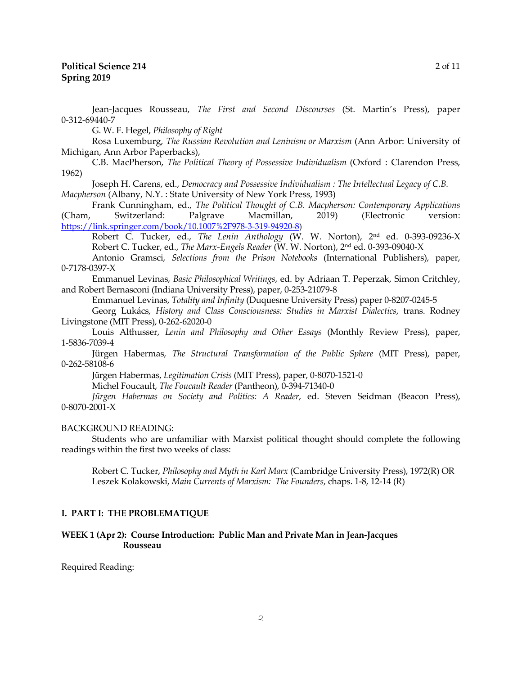# **Political Science 214 Spring 2019**

Jean-Jacques Rousseau, *The First and Second Discourses* (St. Martin's Press), paper 0-312-69440-7

G. W. F. Hegel, *Philosophy of Right* 

Rosa Luxemburg, *The Russian Revolution and Leninism or Marxism* (Ann Arbor: University of Michigan, Ann Arbor Paperbacks),

C.B. MacPherson, *The Political Theory of Possessive Individualism* (Oxford : Clarendon Press, 1962)

Joseph H. Carens, ed., *Democracy and Possessive Individualism : The Intellectual Legacy of C.B. Macpherson* (Albany, N.Y. : State University of New York Press, 1993)

Frank Cunningham, ed., *The Political Thought of C.B. Macpherson: Contemporary Applications* (Cham, Switzerland: Palgrave Macmillan, 2019) (Electronic version: [https://link.springer.com/book/10.1007%2F978-3-319-94920-8\)](https://link.springer.com/book/10.1007%2F978-3-319-94920-8)

Robert C. Tucker, ed., *The Lenin Anthology* (W. W. Norton), 2nd ed. 0-393-09236-X Robert C. Tucker, ed., *The Marx-Engels Reader* (W. W. Norton), 2nd ed. 0-393-09040-X

Antonio Gramsci, *Selections from the Prison Notebooks* (International Publishers), paper, 0-7178-0397-X

Emmanuel Levinas, *Basic Philosophical Writings*, ed. by Adriaan T. Peperzak, Simon Critchley, and Robert Bernasconi (Indiana University Press), paper, 0-253-21079-8

Emmanuel Levinas, *Totality and Infinity* (Duquesne University Press) paper 0-8207-0245-5

Georg Lukács, *History and Class Consciousness: Studies in Marxist Dialectics*, trans. Rodney Livingstone (MIT Press), 0-262-62020-0

Louis Althusser, *Lenin and Philosophy and Other Essays* (Monthly Review Press), paper, 1-5836-7039-4

Jürgen Habermas, *The Structural Transformation of the Public Sphere* (MIT Press), paper, 0-262-58108-6

Jürgen Habermas, *Legitimation Crisis* (MIT Press), paper, 0-8070-1521-0

Michel Foucault, *The Foucault Reader* (Pantheon), 0-394-71340-0

*Jürgen Habermas on Society and Politics: A Reader*, ed. Steven Seidman (Beacon Press), 0-8070-2001-X

#### BACKGROUND READING:

Students who are unfamiliar with Marxist political thought should complete the following readings within the first two weeks of class:

Robert C. Tucker, *Philosophy and Myth in Karl Marx* (Cambridge University Press), 1972(R) OR Leszek Kolakowski, *Main Currents of Marxism: The Founders*, chaps. 1-8, 12-14 (R)

#### **I. PART I: THE PROBLEMATIQUE**

## **WEEK 1 (Apr 2): Course Introduction: Public Man and Private Man in Jean-Jacques Rousseau**

Required Reading: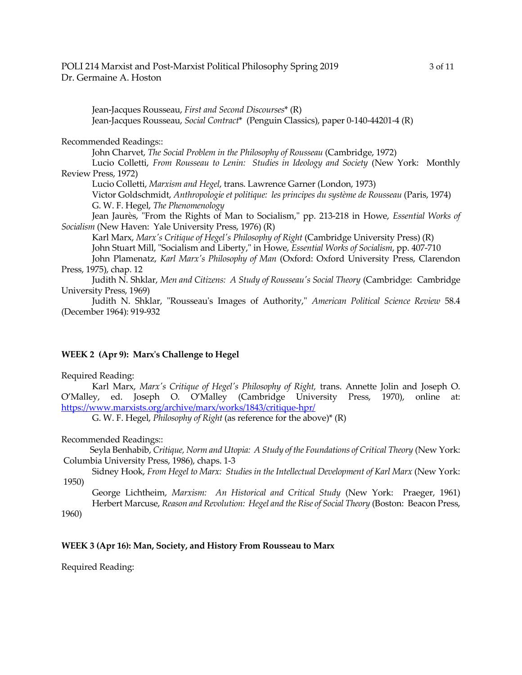# POLI 214 Marxist and Post-Marxist Political Philosophy Spring 2019 3 of 11 Dr. Germaine A. Hoston

Jean-Jacques Rousseau, *First and Second Discourses*\* (R) Jean-Jacques Rousseau, *Social Contract*\* (Penguin Classics), paper 0-140-44201-4 (R)

Recommended Readings::

John Charvet, *The Social Problem in the Philosophy of Rousseau* (Cambridge, 1972) Lucio Colletti, *From Rousseau to Lenin: Studies in Ideology and Society* (New York: Monthly Review Press, 1972)

Lucio Colletti, *Marxism and Hegel*, trans. Lawrence Garner (London, 1973) Victor Goldschmidt, *Anthropologie et politique: les principes du système de Rousseau* (Paris, 1974) G. W. F. Hegel, *The Phenomenology*

Jean Jaurès, "From the Rights of Man to Socialism," pp. 213-218 in Howe, *Essential Works of Socialism* (New Haven: Yale University Press, 1976) (R)

Karl Marx, *Marx's Critique of Hegel's Philosophy of Right* (Cambridge University Press) (R) John Stuart Mill, "Socialism and Liberty," in Howe, *Essential Works of Socialism*, pp. 407-710 John Plamenatz, *Karl Marx's Philosophy of Man* (Oxford: Oxford University Press, Clarendon Press, 1975), chap. 12

Judith N. Shklar, *Men and Citizens: A Study of Rousseau's Social Theory* (Cambridge: Cambridge University Press, 1969)

Judith N. Shklar, "Rousseau's Images of Authority," *American Political Science Review* 58.4 (December 1964): 919-932

# **WEEK 2 (Apr 9): Marx's Challenge to Hegel**

#### Required Reading:

Karl Marx, *Marx's Critique of Hegel's Philosophy of Right,* trans. Annette Jolin and Joseph O. O'Malley, ed. Joseph O. O'Malley (Cambridge University Press, 1970), online at: <https://www.marxists.org/archive/marx/works/1843/critique-hpr/>

G. W. F. Hegel, *Philosophy of Right* (as reference for the above)\* (R)

Recommended Readings::

Seyla Benhabib, *Critique, Norm and Utopia: A Study of the Foundations of Critical Theory* (New York: Columbia University Press, 1986), chaps. 1-3

Sidney Hook, *From Hegel to Marx: Studies in the Intellectual Development of Karl Marx* (New York: 1950)

George Lichtheim, *Marxism: An Historical and Critical Study* (New York: Praeger, 1961) Herbert Marcuse, *Reason and Revolution: Hegel and the Rise of Social Theory* (Boston: Beacon Press,

1960)

# **WEEK 3 (Apr 16): Man, Society, and History From Rousseau to Marx**

Required Reading: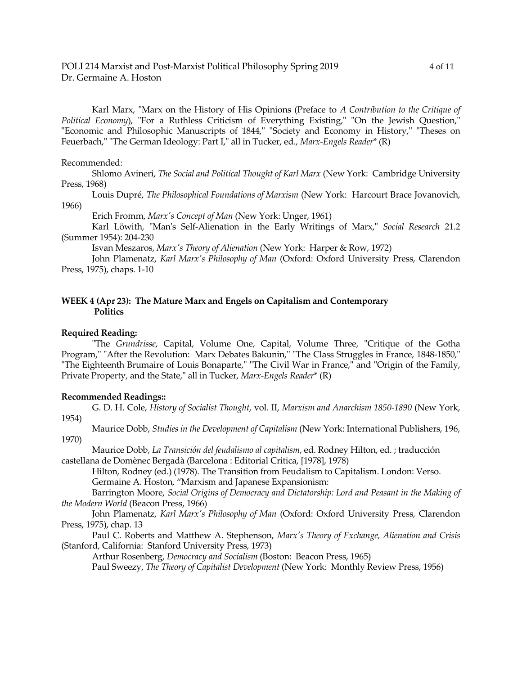Karl Marx, "Marx on the History of His Opinions (Preface to *A Contribution to the Critique of Political Economy*), "For a Ruthless Criticism of Everything Existing," "On the Jewish Question," "Economic and Philosophic Manuscripts of 1844," "Society and Economy in History," "Theses on Feuerbach," "The German Ideology: Part I," all in Tucker, ed., *Marx-Engels Reader*\* (R)

#### Recommended:

Shlomo Avineri, *The Social and Political Thought of Karl Marx* (New York: Cambridge University Press, 1968)

Louis Dupré, *The Philosophical Foundations of Marxism* (New York: Harcourt Brace Jovanovich, 1966)

Erich Fromm, *Marx's Concept of Man* (New York: Unger, 1961)

Karl Löwith, "Man's Self-Alienation in the Early Writings of Marx," *Social Research* 21.2 (Summer 1954): 204-230

Isvan Meszaros, *Marx's Theory of Alienation* (New York: Harper & Row, 1972)

John Plamenatz, *Karl Marx's Philosophy of Man* (Oxford: Oxford University Press, Clarendon Press, 1975), chaps. 1-10

## **WEEK 4 (Apr 23): The Mature Marx and Engels on Capitalism and Contemporary Politics**

# **Required Reading:**

"The *Grundrisse*, Capital, Volume One, Capital, Volume Three, "Critique of the Gotha Program," "After the Revolution: Marx Debates Bakunin," "The Class Struggles in France, 1848-1850," "The Eighteenth Brumaire of Louis Bonaparte," "The Civil War in France," and "Origin of the Family, Private Property, and the State," all in Tucker, *Marx-Engels Reader*\* (R)

#### **Recommended Readings::**

G. D. H. Cole, *History of Socialist Thought*, vol. II, *Marxism and Anarchism 1850-1890* (New York, 1954)

Maurice Dobb, *Studies in the Development of Capitalism* (New York: International Publishers, 196, 1970)

Maurice Dobb, *La Transición del feudalismo al capitalism*, ed. Rodney Hilton, ed. ; traducción castellana de Domènec Bergadà (Barcelona : Editorial Critica, [1978], 1978)

Hilton, Rodney (ed.) (1978). The Transition from Feudalism to Capitalism. London: Verso. Germaine A. Hoston, "Marxism and Japanese Expansionism:

Barrington Moore, *Social Origins of Democracy and Dictatorship: Lord and Peasant in the Making of the Modern World* (Beacon Press, 1966)

John Plamenatz, *Karl Marx's Philosophy of Man* (Oxford: Oxford University Press, Clarendon Press, 1975), chap. 13

Paul C. Roberts and Matthew A. Stephenson, *Marx's Theory of Exchange, Alienation and Crisis* (Stanford, California: Stanford University Press, 1973)

Arthur Rosenberg, *Democracy and Socialism* (Boston: Beacon Press, 1965)

Paul Sweezy, *The Theory of Capitalist Development* (New York: Monthly Review Press, 1956)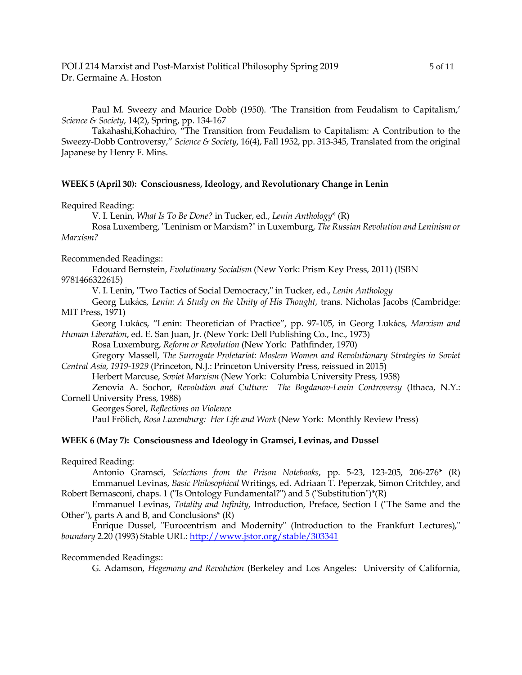#### POLI 214 Marxist and Post-Marxist Political Philosophy Spring 2019 5 of 11 Dr. Germaine A. Hoston

Paul M. Sweezy and Maurice Dobb (1950). 'The Transition from Feudalism to Capitalism,' *Science & Society*, 14(2), Spring, pp. 134-167

Takahashi,Kohachiro, "The Transition from Feudalism to Capitalism: A Contribution to the Sweezy-Dobb Controversy," *Science & Society*, 16(4), Fall 1952, pp. 313-345, Translated from the original Japanese by Henry F. Mins.

#### **WEEK 5 (April 30): Consciousness, Ideology, and Revolutionary Change in Lenin**

#### Required Reading:

V. I. Lenin, *What Is To Be Done?* in Tucker, ed., *Lenin Anthology*\* (R)

Rosa Luxemberg, "Leninism or Marxism?" in Luxemburg, *The Russian Revolution and Leninism or Marxism?*

#### Recommended Readings::

Edouard Bernstein, *Evolutionary Socialism* (New York: Prism Key Press, 2011) (ISBN 9781466322615)

V. I. Lenin, "Two Tactics of Social Democracy," in Tucker, ed., *Lenin Anthology*

Georg Lukács, *Lenin: A Study on the Unity of His Thought*, trans. Nicholas Jacobs (Cambridge: MIT Press, 1971)

Georg Lukács, "Lenin: Theoretician of Practice", pp. 97-105, in Georg Lukács, *Marxism and Human Liberation*, ed. E. San Juan, Jr. (New York: Dell Publishing Co., Inc., 1973)

Rosa Luxemburg, *Reform or Revolution* (New York: Pathfinder, 1970)

Gregory Massell, *The Surrogate Proletariat: Moslem Women and Revolutionary Strategies in Soviet Central Asia, 1919-1929* (Princeton, N.J.: Princeton University Press, reissued in 2015)

Herbert Marcuse, *Soviet Marxism* (New York: Columbia University Press, 1958)

Zenovia A. Sochor, *Revolution and Culture: The Bogdanov-Lenin Controversy* (Ithaca, N.Y.: Cornell University Press, 1988)

Georges Sorel, *Reflections on Violence* Paul Frölich, *Rosa Luxemburg: Her Life and Work* (New York: Monthly Review Press)

## **WEEK 6 (May 7): Consciousness and Ideology in Gramsci, Levinas, and Dussel**

## Required Reading:

Antonio Gramsci, *Selections from the Prison Notebooks*, pp. 5-23, 123-205, 206-276\* (R) Emmanuel Levinas, *Basic Philosophical* Writings, ed. Adriaan T. Peperzak, Simon Critchley, and Robert Bernasconi, chaps. 1 ("Is Ontology Fundamental?") and 5 ("Substitution")\*(R)

Emmanuel Levinas, *Totality and Infinity*, Introduction, Preface, Section I ("The Same and the Other"), parts A and B, and Conclusions\* (R)

Enrique Dussel, "Eurocentrism and Modernity" (Introduction to the Frankfurt Lectures)," *boundary* 2.20 (1993) Stable URL:<http://www.jstor.org/stable/303341>

#### Recommended Readings::

G. Adamson, *Hegemony and Revolution* (Berkeley and Los Angeles: University of California,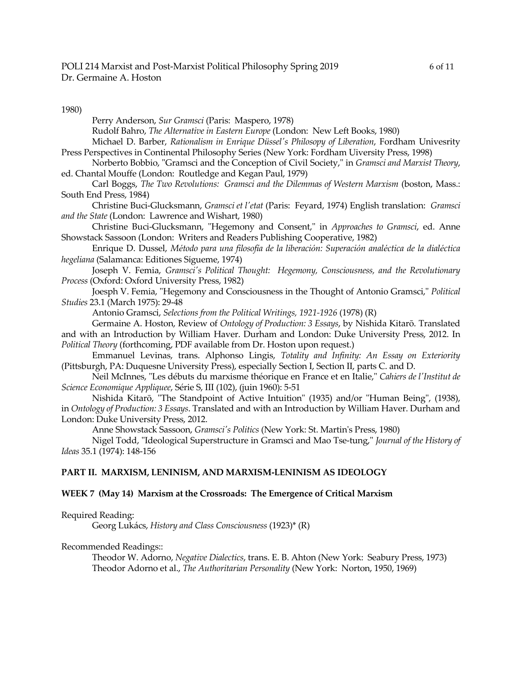1980)

Perry Anderson, *Sur Gramsci* (Paris: Maspero, 1978)

Rudolf Bahro, *The Alternative in Eastern Europe* (London: New Left Books, 1980)

Michael D. Barber, *Rationalism in Enrique Düssel's Philosopy of Liberation*, Fordham Univesrity Press Perspectives in Continental Philosophy Series (New York: Fordham Uiversity Press, 1998)

Norberto Bobbio, "Gramsci and the Conception of Civil Society," in *Gramsci and Marxist Theory*, ed. Chantal Mouffe (London: Routledge and Kegan Paul, 1979)

Carl Boggs, *The Two Revolutions: Gramsci and the Dilemmas of Western Marxism* (boston, Mass.: South End Press, 1984)

Christine Buci-Glucksmann, *Gramsci et l'etat* (Paris: Feyard, 1974) English translation: *Gramsci and the State* (London: Lawrence and Wishart, 1980)

Christine Buci-Glucksmann, "Hegemony and Consent," in *Approaches to Gramsci*, ed. Anne Showstack Sassoon (London: Writers and Readers Publishing Cooperative, 1982)

Enrique D. Dussel, *Método para una filosofía de la liberación: Superación analéctica de la dialéctica hegeliana* (Salamanca: Editiones Sígueme, 1974)

Joseph V. Femia, *Gramsci's Political Thought: Hegemony, Consciousness, and the Revolutionary Process* (Oxford: Oxford University Press, 1982)

Joesph V. Femia, "Hegemony and Consciousness in the Thought of Antonio Gramsci," *Political Studies* 23.1 (March 1975): 29-48

Antonio Gramsci, *Selections from the Political Writings, 1921-1926* (1978) (R)

Germaine A. Hoston, Review of *Ontology of Production: 3 Essays*, by Nishida Kitarō. Translated and with an Introduction by William Haver. Durham and London: Duke University Press, 2012. In *Political Theory* (forthcoming, PDF available from Dr. Hoston upon request.)

Emmanuel Levinas, trans. Alphonso Lingis, *Totality and Infinity: An Essay on Exteriority* (Pittsburgh, PA: Duquesne University Press), especially Section I, Section II, parts C. and D.

Neil McInnes, "Les débuts du marxisme théorique en France et en Italie," *Cahiers de l'Institut de Science Economique Appliquee*, Série S, III (102), (juin 1960): 5-51

Nishida Kitarō, "The Standpoint of Active Intuition" (1935) and/or "Human Being", (1938), in *Ontology of Production: 3 Essays*. Translated and with an Introduction by William Haver. Durham and London: Duke University Press, 2012.

Anne Showstack Sassoon, *Gramsci's Politics* (New York: St. Martin's Press, 1980)

Nigel Todd, "Ideological Superstructure in Gramsci and Mao Tse-tung," *Journal of the History of Ideas* 35.1 (1974): 148-156

#### **PART II. MARXISM, LENINISM, AND MARXISM-LENINISM AS IDEOLOGY**

# **WEEK 7 (May 14) Marxism at the Crossroads: The Emergence of Critical Marxism**

Required Reading:

Georg Lukács, *History and Class Consciousness* (1923)\* (R)

Recommended Readings::

Theodor W. Adorno, *Negative Dialectics*, trans. E. B. Ahton (New York: Seabury Press, 1973) Theodor Adorno et al., *The Authoritarian Personality* (New York: Norton, 1950, 1969)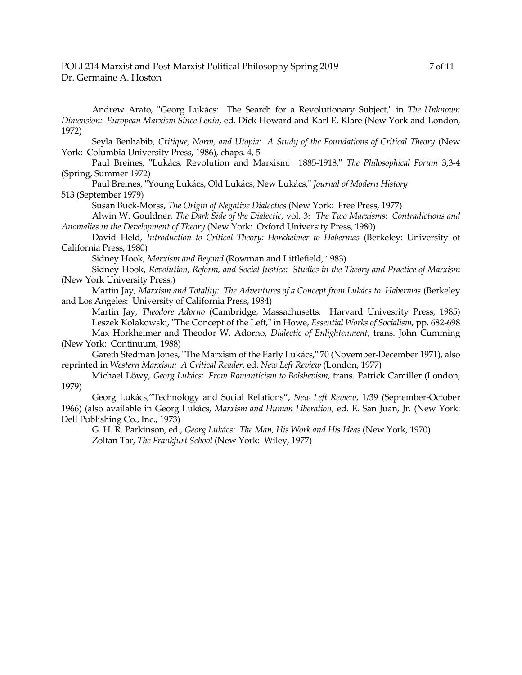### POLI 214 Marxist and Post-Marxist Political Philosophy Spring 2019 7 of 11 Dr. Germaine A. Hoston

Andrew Arato, "Georg Lukács: The Search for a Revolutionary Subject," in *The Unknown Dimension: European Marxism Since Lenin*, ed. Dick Howard and Karl E. Klare (New York and London, 1972)

Seyla Benhabib, *Critique, Norm, and Utopia: A Study of the Foundations of Critical Theory* (New York: Columbia University Press, 1986), chaps. 4, 5

Paul Breines, "Lukács, Revolution and Marxism: 1885-1918," *The Philosophical Forum* 3,3-4 (Spring, Summer 1972)

Paul Breines, "Young Lukács, Old Lukács, New Lukács," *Journal of Modern History* 513 (September 1979)

Susan Buck-Morss, *The Origin of Negative Dialectics* (New York: Free Press, 1977)

Alwin W. Gouldner, *The Dark Side of the Dialectic*, vol. 3: *The Two Marxisms: Contradictions and Anomalies in the Development of Theory* (New York: Oxford University Press, 1980)

David Held, *Introduction to Critical Theory: Horkheimer to Habermas* (Berkeley: University of California Press, 1980)

Sidney Hook, *Marxism and Beyond* (Rowman and Littlefield, 1983)

Sidney Hook, *Revolution, Reform, and Social Justice: Studies in the Theory and Practice of Marxism* (New York University Press,)

Martin Jay, *Marxism and Totality: The Adventures of a Concept from Lukács to Habermas* (Berkeley and Los Angeles: University of California Press, 1984)

Martin Jay, *Theodore Adorno* (Cambridge, Massachusetts: Harvard Univesrity Press, 1985) Leszek Kolakowski, "The Concept of the Left," in Howe, *Essential Works of Socialism*, pp. 682-698 Max Horkheimer and Theodor W. Adorno, *Dialectic of Enlightenment*, trans. John Cumming (New York: Continuum, 1988)

Gareth Stedman Jones, "The Marxism of the Early Lukács," 70 (November-December 1971), also reprinted in *Western Marxism: A Critical Reader*, ed. *New Left Review* (London, 1977)

Michael Löwy, *Georg Lukács: From Romanticism to Bolshevism*, trans. Patrick Camiller (London, 1979)

Georg Lukács,"Technology and Social Relations", *New Left Review*, 1/39 (September-October 1966) (also available in Georg Lukács, *Marxism and Human Liberation*, ed. E. San Juan, Jr. (New York: Dell Publishing Co., Inc., 1973)

G. H. R. Parkinson, ed., *Georg Lukács: The Man, His Work and His Ideas* (New York, 1970) Zoltan Tar, *The Frankfurt School* (New York: Wiley, 1977)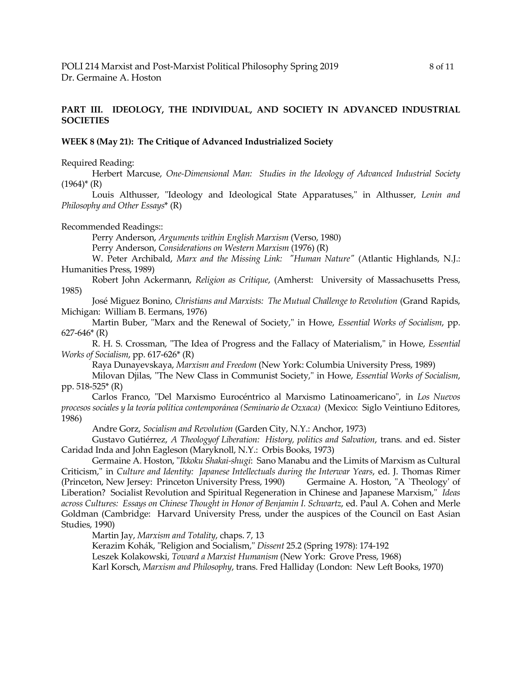# **PART III. IDEOLOGY, THE INDIVIDUAL, AND SOCIETY IN ADVANCED INDUSTRIAL SOCIETIES**

# **WEEK 8 (May 21): The Critique of Advanced Industrialized Society**

Required Reading:

Herbert Marcuse, *One-Dimensional Man: Studies in the Ideology of Advanced Industrial Society*  $(1964)^*$  (R)

Louis Althusser, "Ideology and Ideological State Apparatuses," in Althusser, *Lenin and Philosophy and Other Essays*\* (R)

Recommended Readings::

Perry Anderson, *Arguments within English Marxism* (Verso, 1980)

Perry Anderson, *Considerations on Western Marxism* (1976) (R)

W. Peter Archibald, *Marx and the Missing Link: "Human Nature"* (Atlantic Highlands, N.J.: Humanities Press, 1989)

Robert John Ackermann, *Religion as Critique*, (Amherst: University of Massachusetts Press, 1985)

José Miguez Bonino, *Christians and Marxists: The Mutual Challenge to Revolution* (Grand Rapids, Michigan: William B. Eermans, 1976)

Martin Buber, "Marx and the Renewal of Society," in Howe, *Essential Works of Socialism*, pp.  $627-646$ <sup>\*</sup> (R)

R. H. S. Crossman, "The Idea of Progress and the Fallacy of Materialism," in Howe, *Essential Works of Socialism*, pp. 617-626\* (R)

Raya Dunayevskaya, *Marxism and Freedom* (New York: Columbia University Press, 1989)

Milovan Djilas, "The New Class in Communist Society," in Howe, *Essential Works of Socialism*, pp. 518-525\* (R)

Carlos Franco, "Del Marxismo Eurocéntrico al Marxismo Latinoamericano", in *Los Nuevos procesos sociales y la teoría política contemporánea (Seminario de Ozxaca)* (Mexico: Siglo Veintiuno Editores, 1986)

Andre Gorz, *Socialism and Revolution* (Garden City, N.Y.: Anchor, 1973)

Gustavo Gutiérrez, *A Theologyof Liberation: History, politics and Salvation*, trans. and ed. Sister Caridad Inda and John Eagleson (Maryknoll, N.Y.: Orbis Books, 1973)

Germaine A. Hoston, "*Ikkoku Shakai-shugi*: Sano Manabu and the Limits of Marxism as Cultural Criticism," in *Culture and Identity: Japanese Intellectuals during the Interwar Years*, ed. J. Thomas Rimer (Princeton, New Jersey: Princeton University Press, 1990) Germaine A. Hoston, "A `Theology' of Liberation? Socialist Revolution and Spiritual Regeneration in Chinese and Japanese Marxism," *Ideas across Cultures: Essays on Chinese Thought in Honor of Benjamin I. Schwartz*, ed. Paul A. Cohen and Merle Goldman (Cambridge: Harvard University Press, under the auspices of the Council on East Asian Studies, 1990)

Martin Jay, *Marxism and Totality*, chaps. 7, 13

Kerazim Kohák, "Religion and Socialism," *Dissent* 25.2 (Spring 1978): 174-192

Leszek Kolakowski, *Toward a Marxist Humanism* (New York: Grove Press, 1968)

Karl Korsch, *Marxism and Philosophy*, trans. Fred Halliday (London: New Left Books, 1970)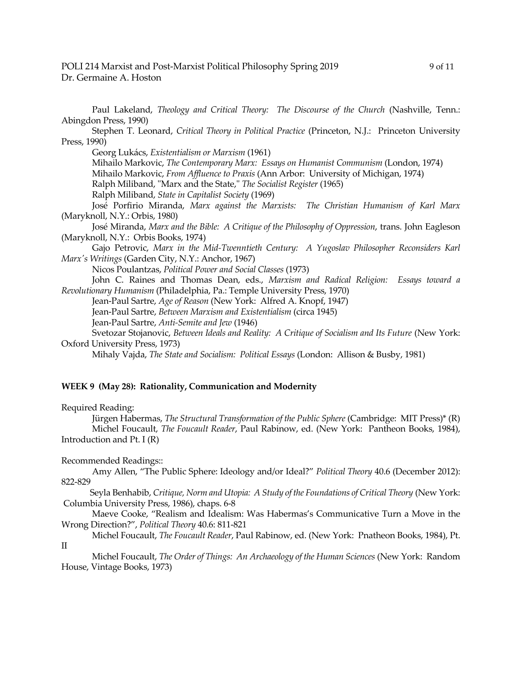## POLI 214 Marxist and Post-Marxist Political Philosophy Spring 2019 9 of 11 Dr. Germaine A. Hoston

Paul Lakeland, *Theology and Critical Theory: The Discourse of the Church* (Nashville, Tenn.: Abingdon Press, 1990) Stephen T. Leonard, *Critical Theory in Political Practice* (Princeton, N.J.: Princeton University Press, 1990) Georg Lukács, *Existentialism or Marxism* (1961) Mihailo Markovic, *The Contemporary Marx: Essays on Humanist Communism* (London, 1974) Mihailo Markovic, *From Affluence to Praxis* (Ann Arbor: University of Michigan, 1974) Ralph Miliband, "Marx and the State," *The Socialist Register* (1965) Ralph Miliband, *State in Capitalist Society* (1969) José Porfirio Miranda, *Marx against the Marxists: The Christian Humanism of Karl Marx* (Maryknoll, N.Y.: Orbis, 1980) José Miranda, *Marx and the Bible: A Critique of the Philosophy of Oppression*, trans. John Eagleson (Maryknoll, N.Y.: Orbis Books, 1974) Gajo Petrovic, *Marx in the Mid-Twenntieth Century: A Yugoslav Philosopher Reconsiders Karl Marx's Writings* (Garden City, N.Y.: Anchor, 1967) Nicos Poulantzas, *Political Power and Social Classes* (1973) John C. Raines and Thomas Dean, eds., *Marxism and Radical Religion: Essays toward a Revolutionary Humanism* (Philadelphia, Pa.: Temple University Press, 1970) Jean-Paul Sartre, *Age of Reason* (New York: Alfred A. Knopf, 1947) Jean-Paul Sartre, *Between Marxism and Existentialism* (circa 1945) Jean-Paul Sartre, *Anti-Semite and Jew* (1946) Svetozar Stojanovic, *Between Ideals and Reality: A Critique of Socialism and Its Future* (New York: Oxford University Press, 1973) Mihaly Vajda, *The State and Socialism: Political Essays* (London: Allison & Busby, 1981)

# **WEEK 9 (May 28): Rationality, Communication and Modernity**

### Required Reading:

Jürgen Habermas, *The Structural Transformation of the Public Sphere* (Cambridge: MIT Press)\* (R) Michel Foucault, *The Foucault Reader*, Paul Rabinow, ed. (New York: Pantheon Books, 1984), Introduction and Pt. I (R)

Recommended Readings::

Amy Allen, "The Public Sphere: Ideology and/or Ideal?" *Political Theory* 40.6 (December 2012): 822-829

Seyla Benhabib, *Critique, Norm and Utopia: A Study of the Foundations of Critical Theory* (New York: Columbia University Press, 1986), chaps. 6-8

Maeve Cooke, "Realism and Idealism: Was Habermas's Communicative Turn a Move in the Wrong Direction?", *Political Theory* 40.6: 811-821

Michel Foucault, *The Foucault Reader*, Paul Rabinow, ed. (New York: Pnatheon Books, 1984), Pt. II

Michel Foucault, *The Order of Things: An Archaeology of the Human Sciences* (New York: Random House, Vintage Books, 1973)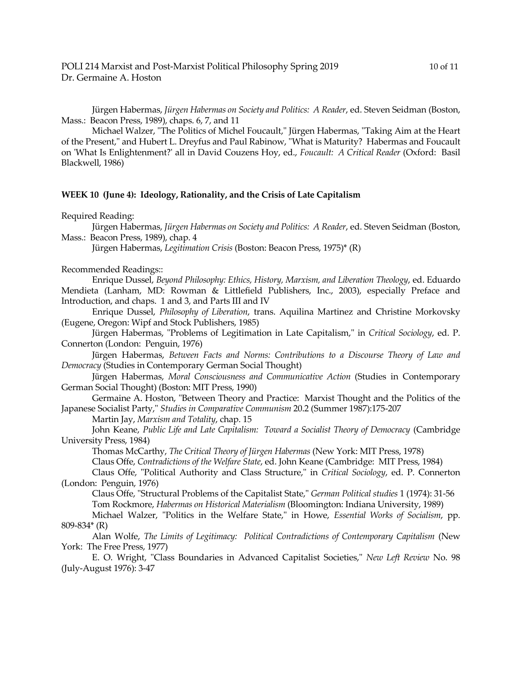### POLI 214 Marxist and Post-Marxist Political Philosophy Spring 2019 10 of 11 Dr. Germaine A. Hoston

Jürgen Habermas, *Jürgen Habermas on Society and Politics: A Reader*, ed. Steven Seidman (Boston, Mass.: Beacon Press, 1989), chaps. 6, 7, and 11

Michael Walzer, "The Politics of Michel Foucault," Jürgen Habermas, "Taking Aim at the Heart of the Present," and Hubert L. Dreyfus and Paul Rabinow, "What is Maturity? Habermas and Foucault on 'What Is Enlightenment?' all in David Couzens Hoy, ed., *Foucault: A Critical Reader* (Oxford: Basil Blackwell, 1986)

#### **WEEK 10 (June 4): Ideology, Rationality, and the Crisis of Late Capitalism**

Required Reading:

Jürgen Habermas, *Jürgen Habermas on Society and Politics: A Reader*, ed. Steven Seidman (Boston, Mass.: Beacon Press, 1989), chap. 4

Jürgen Habermas, *Legitimation Crisis* (Boston: Beacon Press, 1975)\* (R)

#### Recommended Readings::

Enrique Dussel, *Beyond Philosophy: Ethics, History, Marxism, and Liberation Theology*, ed. Eduardo Mendieta (Lanham, MD: Rowman & Littlefield Publishers, Inc., 2003), especially Preface and Introduction, and chaps. 1 and 3, and Parts III and IV

Enrique Dussel, *Philosophy of Liberation*, trans. Aquilina Martinez and Christine Morkovsky (Eugene, Oregon: Wipf and Stock Publishers, 1985)

Jürgen Habermas, "Problems of Legitimation in Late Capitalism," in *Critical Sociology*, ed. P. Connerton (London: Penguin, 1976)

Jürgen Habermas, *Between Facts and Norms: Contributions to a Discourse Theory of Law and Democracy* (Studies in Contemporary German Social Thought)

Jürgen Habermas, *Moral Consciousness and Communicative Action* (Studies in Contemporary German Social Thought) (Boston: MIT Press, 1990)

Germaine A. Hoston, "Between Theory and Practice: Marxist Thought and the Politics of the Japanese Socialist Party," *Studies in Comparative Communism* 20.2 (Summer 1987):175-207

Martin Jay, *Marxism and Totality*, chap. 15

John Keane, *Public Life and Late Capitalism: Toward a Socialist Theory of Democracy* (Cambridge University Press, 1984)

Thomas McCarthy, *The Critical Theory of Jürgen Habermas* (New York: MIT Press, 1978) Claus Offe, *Contradictions of the Welfare State*, ed. John Keane (Cambridge: MIT Press, 1984)

Claus Offe, "Political Authority and Class Structure," in *Critical Sociology*, ed. P. Connerton (London: Penguin, 1976)

Claus Offe, "Structural Problems of the Capitalist State," *German Political studies* 1 (1974): 31-56

Tom Rockmore, *Habermas on Historical Materialism* (Bloomington: Indiana University, 1989)

Michael Walzer, "Politics in the Welfare State," in Howe, *Essential Works of Socialism*, pp. 809-834\* (R)

Alan Wolfe, *The Limits of Legitimacy: Political Contradictions of Contemporary Capitalism* (New York: The Free Press, 1977)

E. O. Wright, "Class Boundaries in Advanced Capitalist Societies," *New Left Review* No. 98 (July-August 1976): 3-47